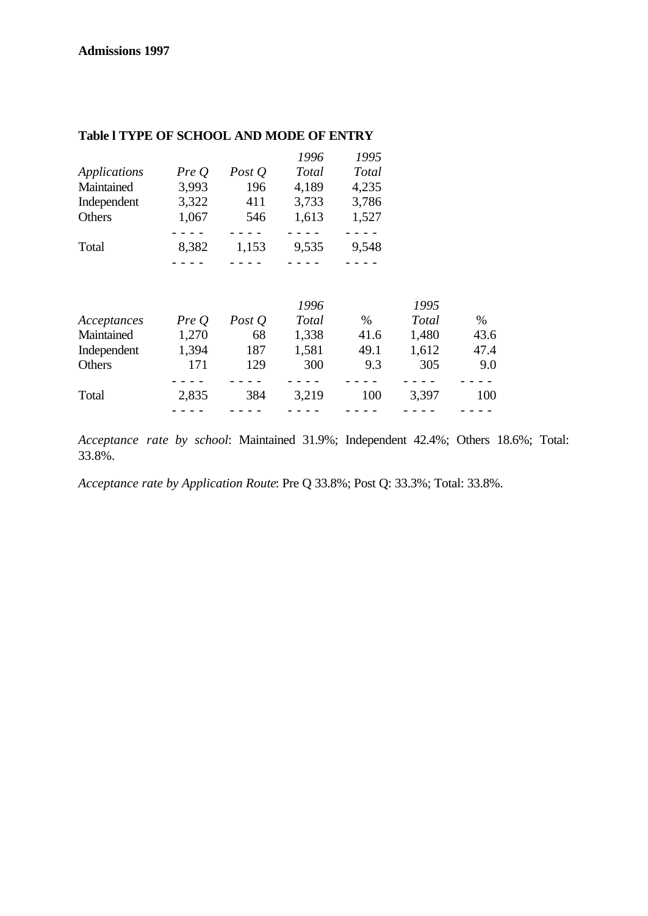|              |       |          | 1996  | 1995  |
|--------------|-------|----------|-------|-------|
| Applications | PreQ  | Post $Q$ | Total | Total |
| Maintained   | 3,993 | 196      | 4,189 | 4,235 |
| Independent  | 3,322 | 411      | 3,733 | 3,786 |
| Others       | 1,067 | 546      | 1,613 | 1,527 |
|              |       |          |       |       |
| Total        | 8,382 | 1,153    | 9,535 | 9,548 |
|              |       |          |       |       |

# **Table l TYPE OF SCHOOL AND MODE OF ENTRY**

|             |       |          | 1996  |      | 1995         |      |
|-------------|-------|----------|-------|------|--------------|------|
| Acceptances | Pre O | Post $Q$ | Total | $\%$ | <b>Total</b> | $\%$ |
| Maintained  | 1,270 | 68       | 1,338 | 41.6 | 1,480        | 43.6 |
| Independent | 1,394 | 187      | 1,581 | 49.1 | 1,612        | 47.4 |
| Others      | 171   | 129      | 300   | 9.3  | 305          | 9.0  |
|             |       |          |       |      |              |      |
| Total       | 2,835 | 384      | 3.219 | 100  | 3,397        | 100  |
|             |       |          |       |      |              |      |

*Acceptance rate by school*: Maintained 31.9%; Independent 42.4%; Others 18.6%; Total: 33.8%.

*Acceptance rate by Application Route*: Pre Q 33.8%; Post Q: 33.3%; Total: 33.8%.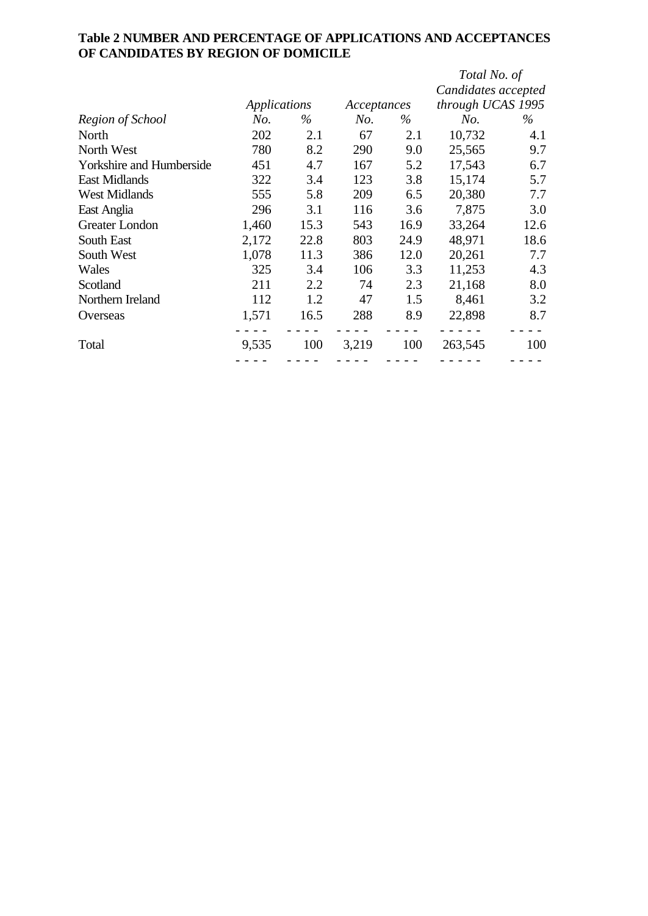## **Table 2 NUMBER AND PERCENTAGE OF APPLICATIONS AND ACCEPTANCES OF CANDIDATES BY REGION OF DOMICILE**

|                                 |       |              |             |      | Total No. of        |      |
|---------------------------------|-------|--------------|-------------|------|---------------------|------|
|                                 |       |              |             |      | Candidates accepted |      |
|                                 |       | Applications | Acceptances |      | through UCAS 1995   |      |
| Region of School                | No.   | $\%$         | No.         | $\%$ | No.                 | $\%$ |
| North                           | 202   | 2.1          | 67          | 2.1  | 10,732              | 4.1  |
| North West                      | 780   | 8.2          | 290         | 9.0  | 25,565              | 9.7  |
| <b>Yorkshire and Humberside</b> | 451   | 4.7          | 167         | 5.2  | 17,543              | 6.7  |
| <b>East Midlands</b>            | 322   | 3.4          | 123         | 3.8  | 15,174              | 5.7  |
| <b>West Midlands</b>            | 555   | 5.8          | 209         | 6.5  | 20,380              | 7.7  |
| East Anglia                     | 296   | 3.1          | 116         | 3.6  | 7,875               | 3.0  |
| Greater London                  | 1,460 | 15.3         | 543         | 16.9 | 33,264              | 12.6 |
| South East                      | 2,172 | 22.8         | 803         | 24.9 | 48,971              | 18.6 |
| South West                      | 1,078 | 11.3         | 386         | 12.0 | 20,261              | 7.7  |
| Wales                           | 325   | 3.4          | 106         | 3.3  | 11,253              | 4.3  |
| Scotland                        | 211   | 2.2          | 74          | 2.3  | 21,168              | 8.0  |
| Northern Ireland                | 112   | 1.2          | 47          | 1.5  | 8,461               | 3.2  |
| Overseas                        | 1,571 | 16.5         | 288         | 8.9  | 22,898              | 8.7  |
| Total                           | 9,535 | 100          | 3,219       | 100  | 263,545             | 100  |
|                                 |       |              |             |      |                     |      |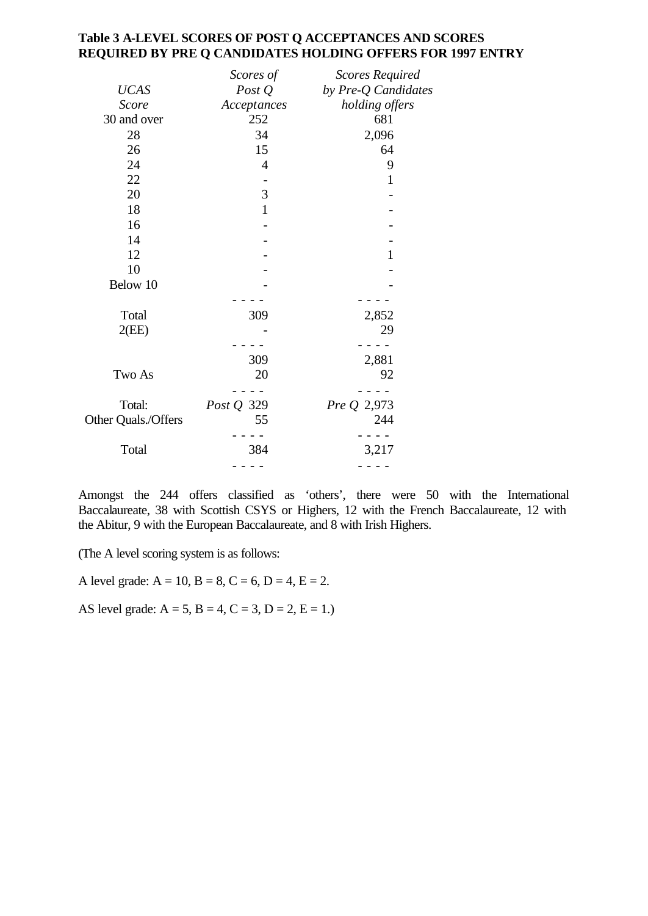### **Table 3 A-LEVEL SCORES OF POST Q ACCEPTANCES AND SCORES REQUIRED BY PRE Q CANDIDATES HOLDING OFFERS FOR 1997 ENTRY**

|                     | Scores of      | <b>Scores Required</b> |
|---------------------|----------------|------------------------|
| <b>UCAS</b>         | Post $Q$       | by Pre-Q Candidates    |
| Score               | Acceptances    | holding offers         |
| 30 and over         | 252            | 681                    |
| 28                  | 34             | 2,096                  |
| 26                  | 15             | 64                     |
| 24                  | $\overline{4}$ | 9                      |
| 22                  |                | $\mathbf{1}$           |
| 20                  | 3              |                        |
| 18                  | $\mathbf{1}$   |                        |
| 16                  |                |                        |
| 14                  |                |                        |
| 12                  |                | $\mathbf{1}$           |
| 10                  |                |                        |
| Below 10            |                |                        |
|                     |                |                        |
| Total               | 309            | 2,852                  |
| 2(EE)               |                | 29                     |
|                     |                |                        |
|                     | 309            | 2,881                  |
| Two As              | 20             | 92                     |
|                     |                |                        |
| Total:              | Post Q 329     | Pre Q 2,973            |
| Other Quals./Offers | 55             | 244                    |
|                     |                |                        |
| Total               | 384            | 3,217                  |
|                     |                |                        |

Amongst the 244 offers classified as 'others', there were 50 with the International Baccalaureate, 38 with Scottish CSYS or Highers, 12 with the French Baccalaureate, 12 with the Abitur, 9 with the European Baccalaureate, and 8 with Irish Highers.

(The A level scoring system is as follows:

A level grade:  $A = 10$ ,  $B = 8$ ,  $C = 6$ ,  $D = 4$ ,  $E = 2$ .

AS level grade:  $A = 5$ ,  $B = 4$ ,  $C = 3$ ,  $D = 2$ ,  $E = 1$ .)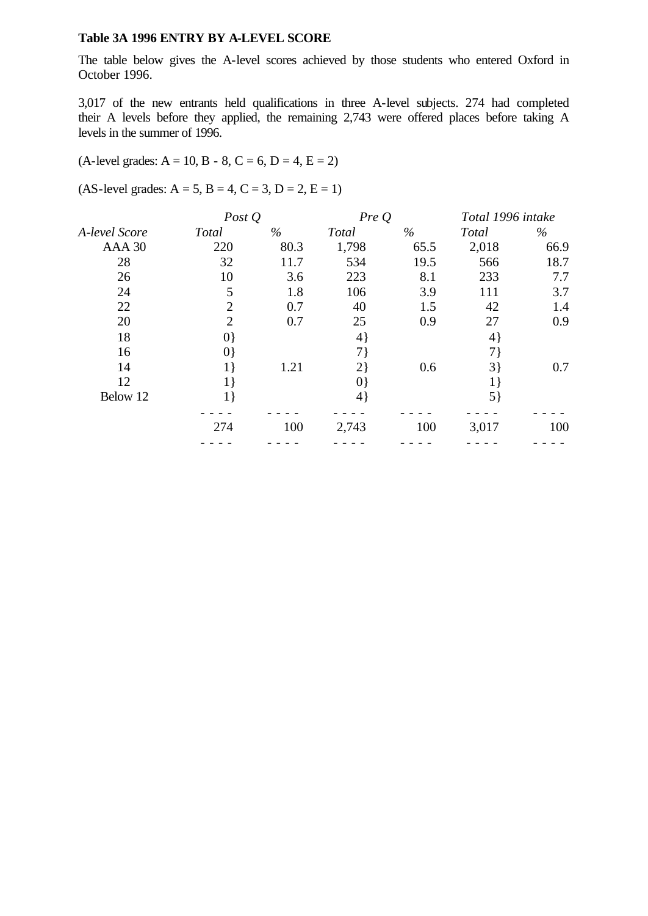### **Table 3A 1996 ENTRY BY A-LEVEL SCORE**

The table below gives the A-level scores achieved by those students who entered Oxford in October 1996.

3,017 of the new entrants held qualifications in three A-level subjects. 274 had completed their A levels before they applied, the remaining 2,743 were offered places before taking A levels in the summer of 1996.

### $(A$ -level grades:  $A = 10$ ,  $B - 8$ ,  $C = 6$ ,  $D = 4$ ,  $E = 2$ )

 $(AS-level grades: A = 5, B = 4, C = 3, D = 2, E = 1)$ 

|               | Post $Q$       |      | PreQ         |      | Total 1996 intake |      |
|---------------|----------------|------|--------------|------|-------------------|------|
| A-level Score | Total          | $\%$ | <b>Total</b> | $\%$ | Total             | $\%$ |
| AAA 30        | 220            | 80.3 | 1,798        | 65.5 | 2,018             | 66.9 |
| 28            | 32             | 11.7 | 534          | 19.5 | 566               | 18.7 |
| 26            | 10             | 3.6  | 223          | 8.1  | 233               | 7.7  |
| 24            | 5              | 1.8  | 106          | 3.9  | 111               | 3.7  |
| 22            | $\overline{2}$ | 0.7  | 40           | 1.5  | 42                | 1.4  |
| 20            | $\overline{2}$ | 0.7  | 25           | 0.9  | 27                | 0.9  |
| 18            | $ 0\rangle$    |      | $4\}$        |      | $4\}$             |      |
| 16            | $ 0\rangle$    |      | 7)           |      | 7}                |      |
| 14            | 1)             | 1.21 | 2)           | 0.6  | 3                 | 0.7  |
| 12            | 1              |      | $ 0\rangle$  |      | $1\}$             |      |
| Below 12      | 1 }            |      | 4            |      | $5\}$             |      |
|               | 274            | 100  | 2,743        | 100  | 3,017             | 100  |
|               |                |      |              |      |                   |      |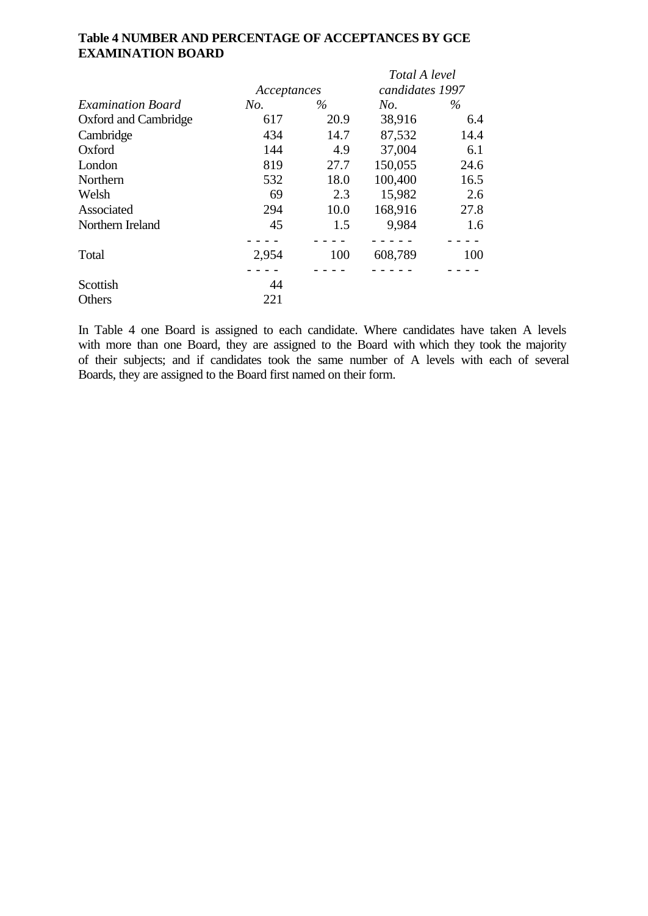# **Table 4 NUMBER AND PERCENTAGE OF ACCEPTANCES BY GCE EXAMINATION BOARD**

|                          |             |      | Total A level   |      |
|--------------------------|-------------|------|-----------------|------|
|                          | Acceptances |      | candidates 1997 |      |
| <b>Examination Board</b> | No.         | $\%$ | No.             | $\%$ |
| Oxford and Cambridge     | 617         | 20.9 | 38,916          | 6.4  |
| Cambridge                | 434         | 14.7 | 87,532          | 14.4 |
| Oxford                   | 144         | 4.9  | 37,004          | 6.1  |
| London                   | 819         | 27.7 | 150,055         | 24.6 |
| Northern                 | 532         | 18.0 | 100,400         | 16.5 |
| Welsh                    | 69          | 2.3  | 15,982          | 2.6  |
| Associated               | 294         | 10.0 | 168,916         | 27.8 |
| Northern Ireland         | 45          | 1.5  | 9,984           | 1.6  |
|                          |             |      |                 |      |
| Total                    | 2,954       | 100  | 608,789         | 100  |
|                          |             |      |                 |      |
| Scottish                 | 44          |      |                 |      |
| Others                   | 221         |      |                 |      |

In Table 4 one Board is assigned to each candidate. Where candidates have taken A levels with more than one Board, they are assigned to the Board with which they took the majority of their subjects; and if candidates took the same number of A levels with each of several Boards, they are assigned to the Board first named on their form.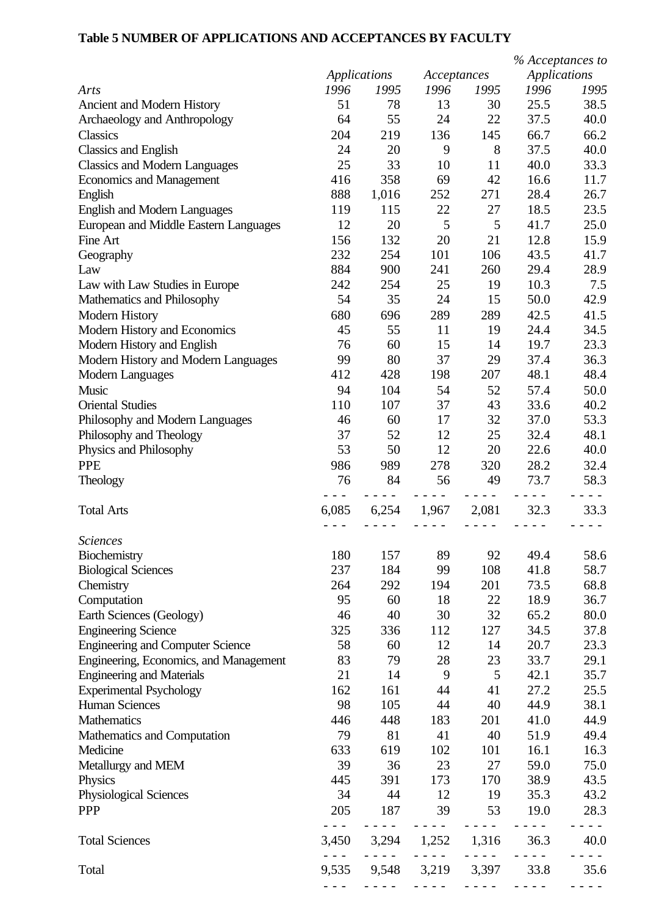## **Table 5 NUMBER OF APPLICATIONS AND ACCEPTANCES BY FACULTY**

|                                         |                |              |             |       | % Acceptances to    |      |
|-----------------------------------------|----------------|--------------|-------------|-------|---------------------|------|
|                                         |                | Applications | Acceptances |       | <b>Applications</b> |      |
| Arts                                    | 1996           | 1995         | 1996        | 1995  | 1996                | 1995 |
| Ancient and Modern History              | 51             | 78           | 13          | 30    | 25.5                | 38.5 |
| Archaeology and Anthropology            | 64             | 55           | 24          | 22    | 37.5                | 40.0 |
| Classics                                | 204            | 219          | 136         | 145   | 66.7                | 66.2 |
| <b>Classics and English</b>             | 24             | 20           | 9           | 8     | 37.5                | 40.0 |
| <b>Classics and Modern Languages</b>    | 25             | 33           | 10          | 11    | 40.0                | 33.3 |
| <b>Economics and Management</b>         | 416            | 358          | 69          | 42    | 16.6                | 11.7 |
| English                                 | 888            | 1,016        | 252         | 271   | 28.4                | 26.7 |
| <b>English and Modern Languages</b>     | 119            | 115          | 22          | 27    | 18.5                | 23.5 |
| European and Middle Eastern Languages   | 12             | 20           | 5           | 5     | 41.7                | 25.0 |
| Fine Art                                | 156            | 132          | 20          | 21    | 12.8                | 15.9 |
| Geography                               | 232            | 254          | 101         | 106   | 43.5                | 41.7 |
| Law                                     | 884            | 900          | 241         | 260   | 29.4                | 28.9 |
| Law with Law Studies in Europe          | 242            | 254          | 25          | 19    | 10.3                | 7.5  |
| Mathematics and Philosophy              | 54             | 35           | 24          | 15    | 50.0                | 42.9 |
| <b>Modern History</b>                   | 680            | 696          | 289         | 289   | 42.5                | 41.5 |
| Modern History and Economics            | 45             | 55           | 11          | 19    | 24.4                | 34.5 |
| Modern History and English              | 76             | 60           | 15          | 14    | 19.7                | 23.3 |
|                                         |                |              |             |       |                     |      |
| Modern History and Modern Languages     | 99             | 80           | 37          | 29    | 37.4                | 36.3 |
| <b>Modern Languages</b>                 | 412            | 428          | 198         | 207   | 48.1                | 48.4 |
| Music                                   | 94             | 104          | 54          | 52    | 57.4                | 50.0 |
| <b>Oriental Studies</b>                 | 110            | 107          | 37          | 43    | 33.6                | 40.2 |
| Philosophy and Modern Languages         | 46             | 60           | 17          | 32    | 37.0                | 53.3 |
| Philosophy and Theology                 | 37             | 52           | 12          | 25    | 32.4                | 48.1 |
| Physics and Philosophy                  | 53             | 50           | 12          | 20    | 22.6                | 40.0 |
| <b>PPE</b>                              | 986            | 989          | 278         | 320   | 28.2                | 32.4 |
| Theology                                | 76             | 84           | 56          | 49    | 73.7                | 58.3 |
| <b>Total Arts</b>                       | $  -$<br>6,085 | 6,254        | 1,967       | 2,081 | 32.3                | 33.3 |
|                                         |                |              |             |       |                     |      |
| <b>Sciences</b>                         |                |              |             |       |                     |      |
| Biochemistry                            | 180            | 157          | 89          | 92    | 49.4                | 58.6 |
| <b>Biological Sciences</b>              | 237            | 184          | 99          | 108   | 41.8                | 58.7 |
| Chemistry                               | 264            | 292          | 194         | 201   | 73.5                | 68.8 |
| Computation                             | 95             | 60           | 18          | 22    | 18.9                | 36.7 |
| Earth Sciences (Geology)                | 46             | 40           | 30          | 32    | 65.2                | 80.0 |
| <b>Engineering Science</b>              | 325            | 336          | 112         | 127   | 34.5                | 37.8 |
| <b>Engineering and Computer Science</b> | 58             | 60           | 12          | 14    | 20.7                | 23.3 |
| Engineering, Economics, and Management  | 83             | 79           | 28          | 23    | 33.7                | 29.1 |
| <b>Engineering and Materials</b>        | 21             | 14           | 9           | 5     | 42.1                | 35.7 |
| <b>Experimental Psychology</b>          | 162            | 161          | 44          | 41    | 27.2                | 25.5 |
| <b>Human Sciences</b>                   | 98             | 105          | 44          | 40    | 44.9                | 38.1 |
| Mathematics                             | 446            | 448          | 183         | 201   | 41.0                | 44.9 |
| Mathematics and Computation             | 79             | 81           | 41          | 40    | 51.9                | 49.4 |
| Medicine                                | 633            | 619          | 102         | 101   | 16.1                | 16.3 |
| Metallurgy and MEM                      | 39             | 36           | 23          | 27    | 59.0                | 75.0 |
| Physics                                 | 445            | 391          | 173         | 170   | 38.9                | 43.5 |
| Physiological Sciences                  | 34             | 44           | 12          | 19    | 35.3                | 43.2 |
| <b>PPP</b>                              | 205            | 187          | 39          | 53    | 19.0                | 28.3 |
| <b>Total Sciences</b>                   | 3,450          | 3,294        | 1,252       | 1,316 | 36.3                | 40.0 |
|                                         |                |              |             |       | $\sim$ $\sim$       |      |
| Total                                   | 9,535          | 9,548        | 3,219       | 3,397 | 33.8                | 35.6 |
|                                         |                |              |             |       |                     |      |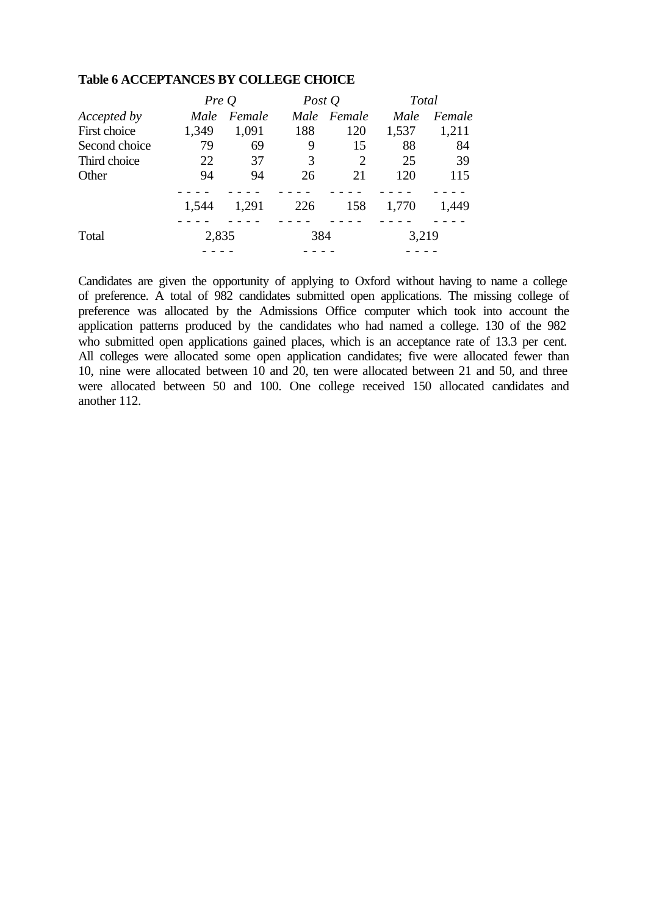|                    | PreQ  |        | Post $Q$ |                | <b>Total</b> |        |
|--------------------|-------|--------|----------|----------------|--------------|--------|
| <i>Accepted by</i> | Male  | Female | Male     | Female         | Male         | Female |
| First choice       | 1,349 | 1,091  | 188      | 120            | 1,537        | 1,211  |
| Second choice      | 79    | 69     | 9        | 15             | 88           | 84     |
| Third choice       | 22    | 37     | 3        | $\overline{2}$ | 25           | 39     |
| Other              | 94    | 94     | 26       | 21             | 120          | 115    |
|                    | 1,544 | 1,291  | 226      | 158            | 1,770        | 1,449  |
|                    |       |        |          |                |              |        |
| Total              | 2,835 |        | 384      |                | 3,219        |        |
|                    |       |        |          |                |              |        |

#### **Table 6 ACCEPTANCES BY COLLEGE CHOICE**

Candidates are given the opportunity of applying to Oxford without having to name a college of preference. A total of 982 candidates submitted open applications. The missing college of preference was allocated by the Admissions Office computer which took into account the application patterns produced by the candidates who had named a college. 130 of the 982 who submitted open applications gained places, which is an acceptance rate of 13.3 per cent. All colleges were allocated some open application candidates; five were allocated fewer than 10, nine were allocated between 10 and 20, ten were allocated between 21 and 50, and three were allocated between 50 and 100. One college received 150 allocated candidates and another 112.